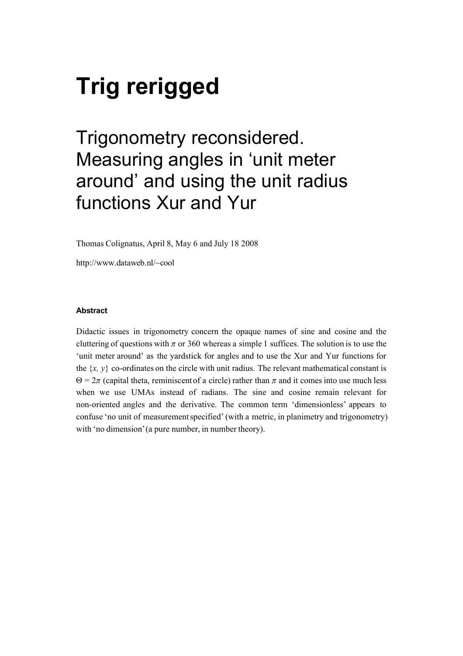# Trig rerigged

## Trigonometry reconsidered. Measuring angles in 'unit meter around' and using the unit radius functions Xur and Yur

Thomas Colignatus, April 8, May 6 and July 18 2008

http://www.dataweb.nl/~cool

#### Abstract

Didactic issues in trigonometry concern the opaque names of sine and cosine and the cluttering of questions with  $\pi$  or 360 whereas a simple 1 suffices. The solution is to use the 'unit meter around' as the yardstick for angles and to use the Xur and Yur functions for the  $\{x, y\}$  co-ordinates on the circle with unit radius. The relevant mathematical constant is  $\Theta = 2\pi$  (capital theta, reminiscent of a circle) rather than  $\pi$  and it comes into use much less when we use UMAs instead of radians. The sine and cosine remain relevant for non-oriented angles and the derivative. The common term 'dimensionless' appears to confuse 'no unit of measurement specified' (with a metric, in planimetry and trigonometry) with 'no dimension' (a pure number, in number theory).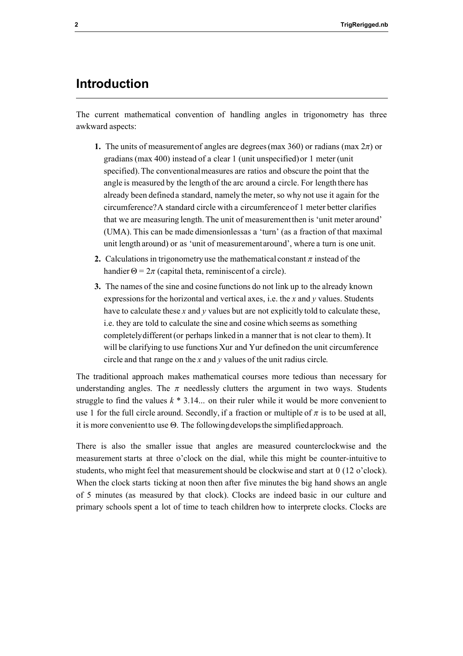## Introduction

The current mathematical convention of handling angles in trigonometry has three awkward aspects:

- 1. The units of measurement of angles are degrees (max 360) or radians (max  $2\pi$ ) or gradians (max 400) instead of a clear 1 (unit unspecified) or 1 meter (unit specified). The conventional measures are ratios and obscure the point that the angle is measured by the length of the arc around a circle. For length there has already been defined a standard, namely the meter, so why not use it again for the circumference? A standard circle with a circumference of 1 meter better clarifies that we are measuring length. The unit of measurement then is 'unit meter around' (UMA). This can be made dimensionless as a 'turn' (as a fraction of that maximal unit length around) or as 'unit of measurement around', where a turn is one unit.
- 2. Calculations in trigonometry use the mathematical constant  $\pi$  instead of the handier  $\Theta = 2\pi$  (capital theta, reminiscent of a circle).
- 3. The names of the sine and cosine functions do not link up to the already known expressions for the horizontal and vertical axes, i.e. the  $x$  and  $y$  values. Students have to calculate these  $x$  and  $y$  values but are not explicitly told to calculate these, i.e. they are told to calculate the sine and cosine which seems as something completely different (or perhaps linked in a manner that is not clear to them). It will be clarifying to use functions Xur and Yur defined on the unit circumference circle and that range on the  $x$  and  $y$  values of the unit radius circle.

The traditional approach makes mathematical courses more tedious than necessary for understanding angles. The  $\pi$  needlessly clutters the argument in two ways. Students struggle to find the values  $k * 3.14...$  on their ruler while it would be more convenient to use 1 for the full circle around. Secondly, if a fraction or multiple of  $\pi$  is to be used at all, it is more convenient to use  $\Theta$ . The following develops the simplified approach.

There is also the smaller issue that angles are measured counterclockwise and the measurement starts at three o'clock on the dial, while this might be counter-intuitive to students, who might feel that measurement should be clockwise and start at 0 (12 o'clock). When the clock starts ticking at noon then after five minutes the big hand shows an angle of 5 minutes (as measured by that clock). Clocks are indeed basic in our culture and primary schools spent a lot of time to teach children how to interprete clocks. Clocks are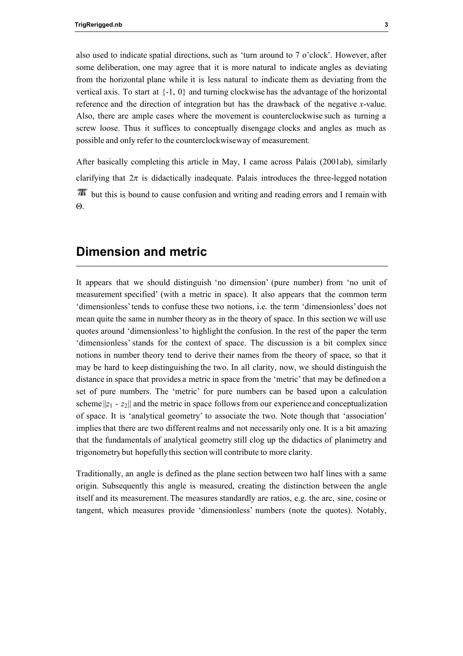also used to indicate spatial directions, such as 'turn around to 7 o'clock'. However, after some deliberation, one may agree that it is more natural to indicate angles as deviating from the horizontal plane while it is less natural to indicate them as deviating from the vertical axis. To start at  $\{-1, 0\}$  and turning clockwise has the advantage of the horizontal reference and the direction of integration but has the drawback of the negative x-value. Also, there are ample cases where the movement is counterclockwise such as turning a screw loose. Thus it suffices to conceptually disengage clocks and angles as much as possible and only refer to the counterclockwise way of measurement.

After basically completing this article in May, I came across Palais (2001ab), similarly clarifying that  $2\pi$  is didactically inadequate. Palais introduces the three-legged notation but this is bound to cause confusion and writing and reading errors and I remain with  $\Theta$ .

## Dimension and metric

It appears that we should distinguish 'no dimension' (pure number) from 'no unit of measurement specified' (with a metric in space). It also appears that the common term 'dimensionless' tends to confuse these two notions, i.e. the term 'dimensionless' does not mean quite the same in number theory as in the theory of space. In this section we will use quotes around 'dimensionless' to highlight the confusion. In the rest of the paper the term 'dimensionless' stands for the context of space. The discussion is a bit complex since notions in number theory tend to derive their names from the theory of space, so that it may be hard to keep distinguishing the two. In all clarity, now, we should distinguish the distance in space that provides a metric in space from the 'metric' that may be defined on a set of pure numbers. The 'metric' for pure numbers can be based upon a calculation scheme  $||z_1 - z_2||$  and the metric in space follows from our experience and conceptualization of space. It is 'analytical geometry' to associate the two. Note though that 'association' implies that there are two different realms and not necessarily only one. It is a bit amazing that the fundamentals of analytical geometry still clog up the didactics of planimetry and trigonometry but hopefully this section will contribute to more clarity.

Traditionally, an angle is defined as the plane section between two half lines with a same origin. Subsequently this angle is measured, creating the distinction between the angle itself and its measurement. The measures standardly are ratios, e.g. the arc, sine, cosine or tangent, which measures provide 'dimensionless' numbers (note the quotes). Notably,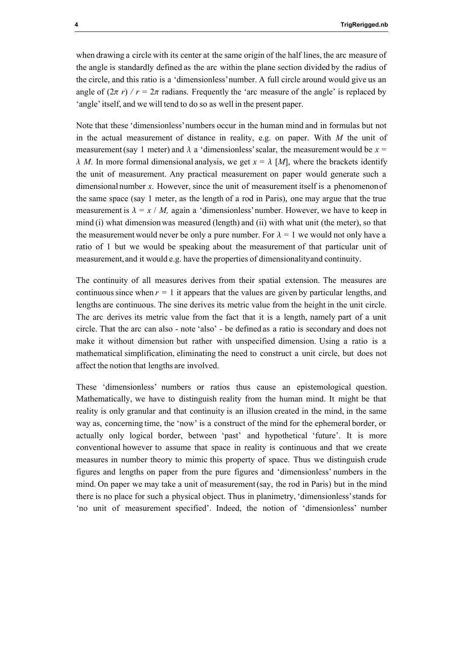when drawing a circle with its center at the same origin of the half lines, the arc measure of the angle is standardly defined as the arc within the plane section divided by the radius of the circle, and this ratio is a 'dimensionless' number. A full circle around would give us an angle of  $(2\pi r)/r = 2\pi$  radians. Frequently the 'arc measure of the angle' is replaced by 'angle' itself, and we will tend to do so as well in the present paper.

Note that these 'dimensionless' numbers occur in the human mind and in formulas but not in the actual measurement of distance in reality, e.g. on paper. With  $M$  the unit of measurement (say 1 meter) and  $\lambda$  a 'dimensionless' scalar, the measurement would be  $x =$  $\lambda$  M. In more formal dimensional analysis, we get  $x = \lambda$  [M], where the brackets identify the unit of measurement. Any practical measurement on paper would generate such a dimensional number x. However, since the unit of measurement itself is a phenomenon of the same space (say 1 meter, as the length of a rod in Paris), one may argue that the true measurement is  $\lambda = x / M$ , again a 'dimensionless' number. However, we have to keep in mind (i) what dimension was measured (length) and (ii) with what unit (the meter), so that the measurement would never be only a pure number. For  $\lambda = 1$  we would not only have a ratio of 1 but we would be speaking about the measurement of that particular unit of measurement, and it would e.g. have the properties of dimensionality and continuity.

The continuity of all measures derives from their spatial extension. The measures are continuous since when  $r = 1$  it appears that the values are given by particular lengths, and lengths are continuous. The sine derives its metric value from the height in the unit circle. The arc derives its metric value from the fact that it is a length, namely part of a unit circle. That the arc can also - note 'also' - be defined as a ratio is secondary and does not make it without dimension but rather with unspecified dimension. Using a ratio is a mathematical simplification, eliminating the need to construct a unit circle, but does not affect the notion that lengths are involved.

These 'dimensionless' numbers or ratios thus cause an epistemological question. Mathematically, we have to distinguish reality from the human mind. It might be that reality is only granular and that continuity is an illusion created in the mind, in the same way as, concerning time, the 'now' is a construct of the mind for the ephemeral border, or actually only logical border, between 'past' and hypothetical 'future'. It is more conventional however to assume that space in reality is continuous and that we create measures in number theory to mimic this property of space. Thus we distinguish crude figures and lengths on paper from the pure figures and 'dimensionless' numbers in the mind. On paper we may take a unit of measurement (say, the rod in Paris) but in the mind there is no place for such a physical object. Thus in planimetry, 'dimensionless' stands for 'no unit of measurement specified'. Indeed, the notion of 'dimensionless' number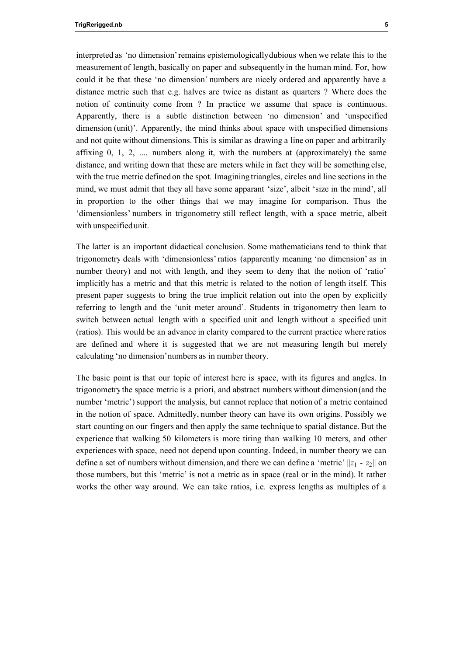interpreted as 'no dimension' remains epistemologically dubious when we relate this to the measurement of length, basically on paper and subsequently in the human mind. For, how could it be that these 'no dimension' numbers are nicely ordered and apparently have a distance metric such that e.g. halves are twice as distant as quarters ? Where does the notion of continuity come from ? In practice we assume that space is continuous. Apparently, there is a subtle distinction between 'no dimension' and 'unspecified dimension (unit)'. Apparently, the mind thinks about space with unspecified dimensions and not quite without dimensions. This is similar as drawing a line on paper and arbitrarily affixing  $0, 1, 2, \ldots$  numbers along it, with the numbers at (approximately) the same distance, and writing down that these are meters while in fact they will be something else, with the true metric defined on the spot. Imagining triangles, circles and line sections in the mind, we must admit that they all have some apparant 'size', albeit 'size in the mind', all in proportion to the other things that we may imagine for comparison. Thus the 'dimensionless' numbers in trigonometry still reflect length, with a space metric, albeit with unspecified unit.

The latter is an important didactical conclusion. Some mathematicians tend to think that trigonometry deals with 'dimensionless' ratios (apparently meaning 'no dimension' as in number theory) and not with length, and they seem to deny that the notion of 'ratio' implicitly has a metric and that this metric is related to the notion of length itself. This present paper suggests to bring the true implicit relation out into the open by explicitly referring to length and the 'unit meter around'. Students in trigonometry then learn to switch between actual length with a specified unit and length without a specified unit (ratios). This would be an advance in clarity compared to the current practice where ratios are defined and where it is suggested that we are not measuring length but merely calculating 'no dimension' numbers as in number theory.

The basic point is that our topic of interest here is space, with its figures and angles. In trigonometry the space metric is a priori, and abstract numbers without dimension (and the number 'metric') support the analysis, but cannot replace that notion of a metric contained in the notion of space. Admittedly, number theory can have its own origins. Possibly we start counting on our fingers and then apply the same technique to spatial distance. But the experience that walking 50 kilometers is more tiring than walking 10 meters, and other experiences with space, need not depend upon counting. Indeed, in number theory we can define a set of numbers without dimension, and there we can define a 'metric'  $||z_1 - z_2||$  on those numbers, but this 'metric' is not a metric as in space (real or in the mind). It rather works the other way around. We can take ratios, i.e. express lengths as multiples of a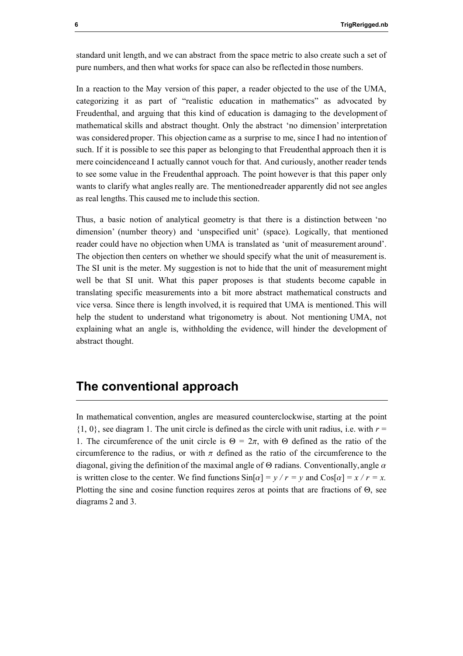standard unit length, and we can abstract from the space metric to also create such a set of pure numbers, and then what works for space can also be reflected in those numbers.

In a reaction to the May version of this paper, a reader objected to the use of the UMA, categorizing it as part of "realistic education in mathematics" as advocated by Freudenthal, and arguing that this kind of education is damaging to the development of mathematical skills and abstract thought. Only the abstract 'no dimension' interpretation was considered proper. This objection came as a surprise to me, since I had no intention of such. If it is possible to see this paper as belonging to that Freudenthal approach then it is mere coincidence and I actually cannot vouch for that. And curiously, another reader tends to see some value in the Freudenthal approach. The point however is that this paper only wants to clarify what angles really are. The mentioned reader apparently did not see angles as real lengths. This caused me to include this section.

Thus, a basic notion of analytical geometry is that there is a distinction between 'no dimension' (number theory) and 'unspecified unit' (space). Logically, that mentioned reader could have no objection when UMA is translated as 'unit of measurement around'. The objection then centers on whether we should specify what the unit of measurement is. The SI unit is the meter. My suggestion is not to hide that the unit of measurement might well be that SI unit. What this paper proposes is that students become capable in translating specific measurements into a bit more abstract mathematical constructs and vice versa. Since there is length involved, it is required that UMA is mentioned. This will help the student to understand what trigonometry is about. Not mentioning UMA, not explaining what an angle is, withholding the evidence, will hinder the development of abstract thought.

## The conventional approach

In mathematical convention, angles are measured counterclockwise, starting at the point  $\{1, 0\}$ , see diagram 1. The unit circle is defined as the circle with unit radius, i.e. with  $r =$ 1. The circumference of the unit circle is  $\Theta = 2\pi$ , with  $\Theta$  defined as the ratio of the circumference to the radius, or with  $\pi$  defined as the ratio of the circumference to the diagonal, giving the definition of the maximal angle of  $\Theta$  radians. Conventionally, angle  $\alpha$ is written close to the center. We find functions  $\sin[\alpha] = v/r = v$  and  $\cos[\alpha] = x/r = x$ . Plotting the sine and cosine function requires zeros at points that are fractions of  $\Theta$ , see diagrams 2 and 3.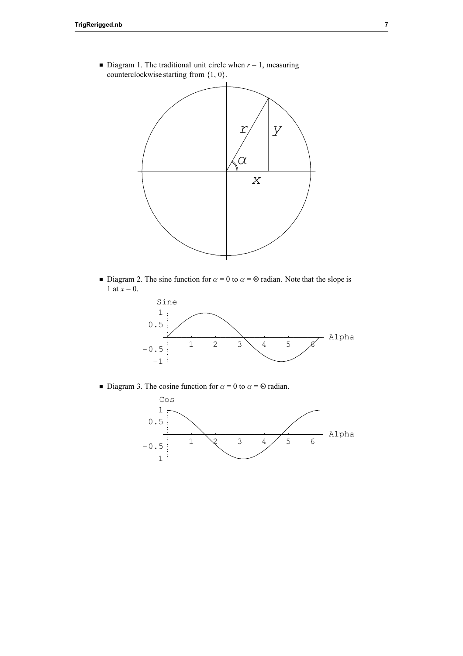

 $\blacksquare$  Diagram 1. The traditional unit circle when  $r = 1$ , measuring counterclockwise starting from {1, 0}.

■ Diagram 2. The sine function for  $\alpha = 0$  to  $\alpha = \Theta$  radian. Note that the slope is 1 at  $x = 0$ .



■ Diagram 3. The cosine function for  $\alpha = 0$  to  $\alpha = \Theta$  radian.

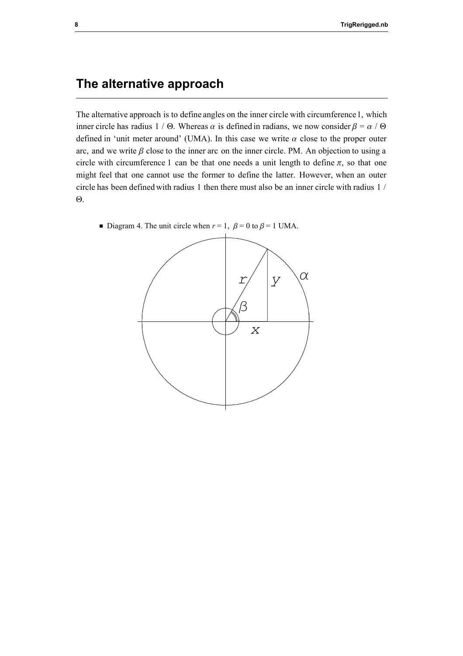## The alternative approach

The alternative approach is to define angles on the inner circle with circumference 1, which inner circle has radius 1 /  $\Theta$ . Whereas  $\alpha$  is defined in radians, we now consider  $\beta = \alpha / \Theta$ defined in 'unit meter around' (UMA). In this case we write  $\alpha$  close to the proper outer arc, and we write  $\beta$  close to the inner arc on the inner circle. PM. An objection to using a circle with circumference 1 can be that one needs a unit length to define  $\pi$ , so that one might feel that one cannot use the former to define the latter. However, when an outer circle has been defined with radius 1 then there must also be an inner circle with radius 1 /  $\Theta$ .



**•** Diagram 4. The unit circle when  $r = 1$ ,  $\beta = 0$  to  $\beta = 1$  UMA.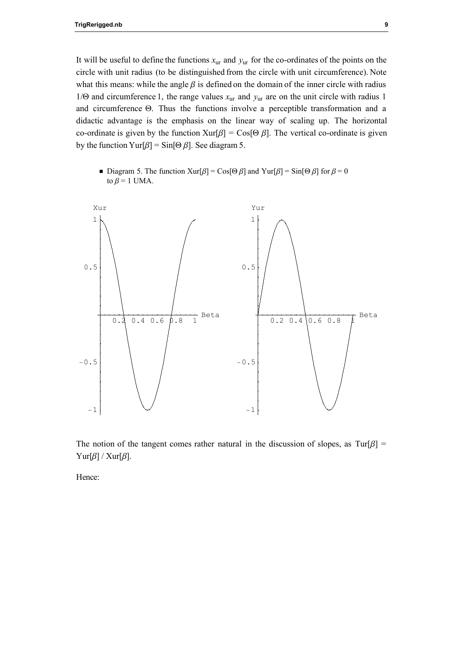It will be useful to define the functions  $x_{\text{ur}}$  and  $y_{\text{ur}}$  for the co-ordinates of the points on the circle with unit radius (to be distinguished from the circle with unit circumference). Note what this means: while the angle  $\beta$  is defined on the domain of the inner circle with radius 1/ $\Theta$  and circumference 1, the range values  $x_{\text{ur}}$  and  $y_{\text{ur}}$  are on the unit circle with radius 1 and circumference Q. Thus the functions involve a perceptible transformation and a didactic advantage is the emphasis on the linear way of scaling up. The horizontal co-ordinate is given by the function  $Xur[\beta] = Cos[\Theta \beta]$ . The vertical co-ordinate is given by the function Yur[ $\beta$ ] = Sin[ $\Theta$   $\beta$ ]. See diagram 5.

■ Diagram 5. The function Xur[ $\beta$ ] = Cos[ $\Theta \beta$ ] and Yur[ $\beta$ ] = Sin[ $\Theta \beta$ ] for  $\beta$  = 0 to  $\beta$  = 1 UMA.



The notion of the tangent comes rather natural in the discussion of slopes, as  $Tur[\beta]$  = Yur[ $\beta$ ] / Xur[ $\beta$ ].

Hence: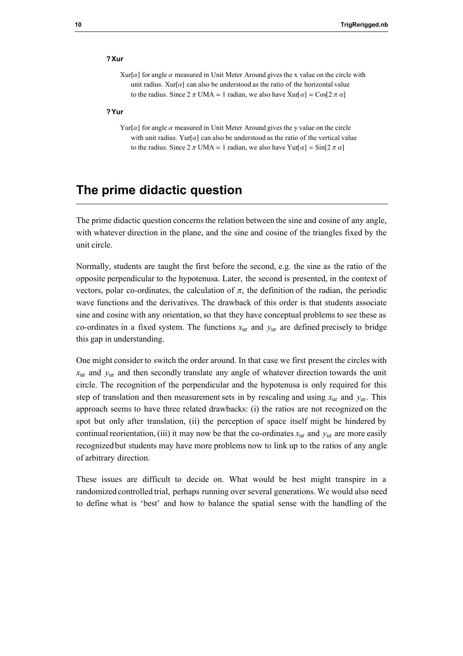#### ?Xur

Xur[ $\alpha$ ] for angle  $\alpha$  measured in Unit Meter Around gives the x value on the circle with unit radius. Xur $\lceil \alpha \rceil$  can also be understood as the ratio of the horizontal value to the radius. Since  $2 \pi \text{ UMA} = 1$  radian, we also have  $\text{Xur}[\alpha] = \text{Cos}[2 \pi \alpha]$ 

#### ?Yur

Yur[ $\alpha$ ] for angle  $\alpha$  measured in Unit Meter Around gives the y value on the circle with unit radius. Yur[ $\alpha$ ] can also be understood as the ratio of the vertical value to the radius. Since  $2 \pi \text{ UMA} = 1$  radian, we also have  $\text{Yur}[\alpha] = \text{Sin}[2 \pi \alpha]$ 

## The prime didactic question

The prime didactic question concerns the relation between the sine and cosine of any angle, with whatever direction in the plane, and the sine and cosine of the triangles fixed by the unit circle.

Normally, students are taught the first before the second, e.g. the sine as the ratio of the opposite perpendicular to the hypotenusa. Later, the second is presented, in the context of vectors, polar co-ordinates, the calculation of  $\pi$ , the definition of the radian, the periodic wave functions and the derivatives. The drawback of this order is that students associate sine and cosine with any orientation, so that they have conceptual problems to see these as co-ordinates in a fixed system. The functions  $x_{\text{ur}}$  and  $y_{\text{ur}}$  are defined precisely to bridge this gap in understanding.

One might consider to switch the order around. In that case we first present the circles with  $x_{\text{ur}}$  and  $y_{\text{ur}}$  and then secondly translate any angle of whatever direction towards the unit circle. The recognition of the perpendicular and the hypotenusa is only required for this step of translation and then measurement sets in by rescaling and using  $x_{\text{ur}}$  and  $y_{\text{ur}}$ . This approach seems to have three related drawbacks: (i) the ratios are not recognized on the spot but only after translation, (ii) the perception of space itself might be hindered by continual reorientation, (iii) it may now be that the co-ordinates  $x_{\text{ur}}$  and  $y_{\text{ur}}$  are more easily recognized but students may have more problems now to link up to the ratios of any angle of arbitrary direction.

These issues are difficult to decide on. What would be best might transpire in a randomized controlled trial, perhaps running over several generations. We would also need to define what is 'best' and how to balance the spatial sense with the handling of the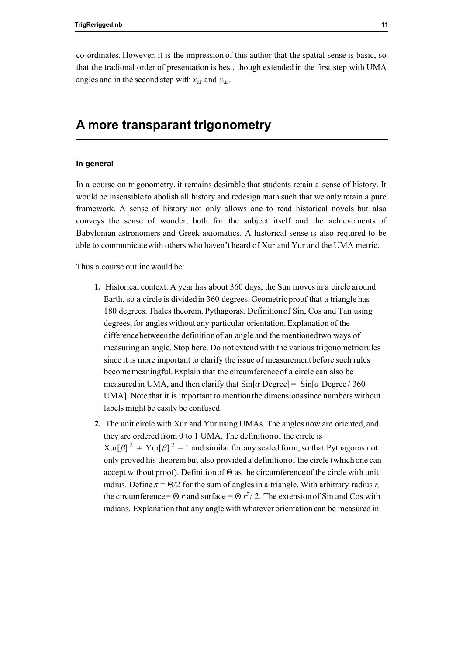co-ordinates. However, it is the impression of this author that the spatial sense is basic, so that the tradional order of presentation is best, though extended in the first step with UMA angles and in the second step with  $x_{\text{ur}}$  and  $y_{\text{ur}}$ .

## A more transparant trigonometry

#### In general

In a course on trigonometry, it remains desirable that students retain a sense of history. It would be insensible to abolish all history and redesign math such that we only retain a pure framework. A sense of history not only allows one to read historical novels but also conveys the sense of wonder, both for the subject itself and the achievements of Babylonian astronomers and Greek axiomatics. A historical sense is also required to be able to communicate with others who haven't heard of Xur and Yur and the UMA metric.

Thus a course outline would be:

- 1. Historical context. A year has about 360 days, the Sun moves in a circle around Earth, so a circle is divided in 360 degrees. Geometric proof that a triangle has 180 degrees. Thales theorem. Pythagoras. Definition of Sin, Cos and Tan using degrees, for angles without any particular orientation. Explanation of the difference between the definition of an angle and the mentioned two ways of measuring an angle. Stop here. Do not extend with the various trigonometric rules since it is more important to clarify the issue of measurement before such rules become meaningful. Explain that the circumference of a circle can also be measured in UMA, and then clarify that  $\sin[\alpha \text{ Degree}] = \sin[\alpha \text{ Degree} / 360$ UMA]. Note that it is important to mention the dimensions since numbers without labels might be easily be confused.
- 2. The unit circle with Xur and Yur using UMAs. The angles now are oriented, and they are ordered from 0 to 1 UMA. The definition of the circle is  $Xur[\beta]^2 + Yur[\beta]^2 = 1$  and similar for any scaled form, so that Pythagoras not only proved his theorem but also provided a definition of the circle (which one can accept without proof). Definition of  $\Theta$  as the circumference of the circle with unit radius. Define  $\pi = \Theta/2$  for the sum of angles in a triangle. With arbitrary radius r, the circumference =  $\Theta r$  and surface =  $\Theta r^2/2$ . The extension of Sin and Cos with radians. Explanation that any angle with whatever orientation can be measured in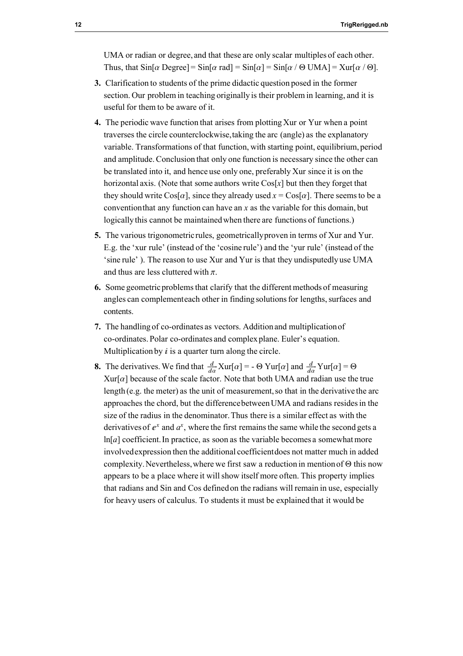UMA or radian or degree, and that these are only scalar multiples of each other. Thus, that  $\sin[\alpha \text{ Degree}] = \sin[\alpha \text{ rad}] = \sin[\alpha] = \sin[\alpha / \Theta \text{ UMA}] = \text{Xur}[\alpha / \Theta]$ .

- 3. Clarification to students of the prime didactic question posed in the former section. Our problem in teaching originally is their problem in learning, and it is useful for them to be aware of it.
- 4. The periodic wave function that arises from plotting Xur or Yur when a point traverses the circle counterclockwise, taking the arc (angle) as the explanatory variable. Transformations of that function, with starting point, equilibrium, period and amplitude. Conclusion that only one function is necessary since the other can be translated into it, and hence use only one, preferably Xur since it is on the horizontal axis. (Note that some authors write  $\cos[x]$  but then they forget that they should write  $\cos[\alpha]$ , since they already used  $x = \cos[\alpha]$ . There seems to be a convention that any function can have an  $x$  as the variable for this domain, but logically this cannot be maintained when there are functions of functions.)
- 5. The various trigonometric rules, geometrically proven in terms of Xur and Yur. E.g. the 'xur rule' (instead of the 'cosine rule') and the 'yur rule' (instead of the 'sine rule' ). The reason to use Xur and Yur is that they undisputedly use UMA and thus are less cluttered with  $\pi$ .
- 6. Some geometric problems that clarify that the different methods of measuring angles can complement each other in finding solutions for lengths, surfaces and contents.
- 7. The handling of co-ordinates as vectors. Addition and multiplication of co-ordinates. Polar co-ordinates and complex plane. Euler's equation. Multiplication by  $\dot{i}$  is a quarter turn along the circle.
- **8.** The derivatives. We find that  $\frac{d}{d\alpha}$  Xur[ $\alpha$ ] =  $\Theta$  Yur[ $\alpha$ ] and  $\frac{d}{d\alpha}$  Yur[ $\alpha$ ] =  $\Theta$  $Xur[\alpha]$  because of the scale factor. Note that both UMA and radian use the true length (e.g. the meter) as the unit of measurement, so that in the derivative the arc approaches the chord, but the difference between UMA and radians resides in the size of the radius in the denominator. Thus there is a similar effect as with the derivatives of  $e^x$  and  $a^x$ , where the first remains the same while the second gets a  $ln[a]$  coefficient. In practice, as soon as the variable becomes a somewhat more involved expression then the additional coefficient does not matter much in added complexity. Nevertheless, where we first saw a reduction in mention of  $\Theta$  this now appears to be a place where it will show itself more often. This property implies that radians and Sin and Cos defined on the radians will remain in use, especially for heavy users of calculus. To students it must be explained that it would be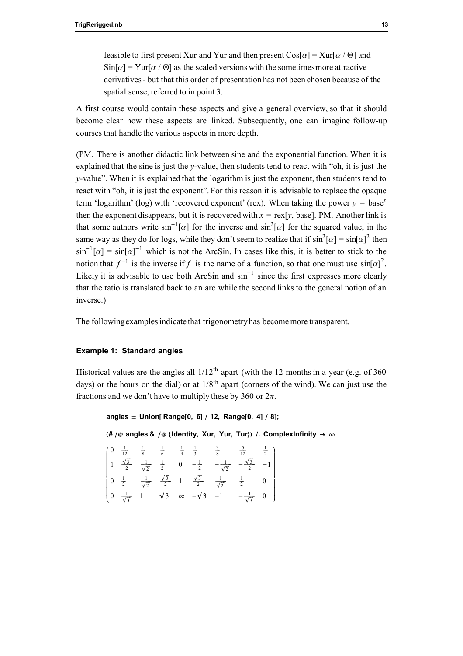feasible to first present Xur and Yur and then present  $\cos[\alpha] = \frac{\text{Xur}}{\alpha}$  /  $\Theta$  and  $\sin[\alpha] = \text{Yur}[\alpha / \Theta]$  as the scaled versions with the sometimes more attractive derivatives - but that this order of presentation has not been chosen because of the spatial sense, referred to in point 3.

A first course would contain these aspects and give a general overview, so that it should become clear how these aspects are linked. Subsequently, one can imagine follow-up courses that handle the various aspects in more depth.

(PM. There is another didactic link between sine and the exponential function. When it is explained that the sine is just the  $\nu$ -value, then students tend to react with "oh, it is just the y-value". When it is explained that the logarithm is just the exponent, then students tend to react with "oh, it is just the exponent". For this reason it is advisable to replace the opaque term 'logarithm' (log) with 'recovered exponent' (rex). When taking the power  $y = base^x$ then the exponent disappears, but it is recovered with  $x = \text{rex}[y]$ , base]. PM. Another link is that some authors write  $\sin^{-1}[\alpha]$  for the inverse and  $\sin^2[\alpha]$  for the squared value, in the same way as they do for logs, while they don't seem to realize that if  $\sin^2[\alpha] = \sin[\alpha]^2$  then  $\sin^{-1}[\alpha] = \sin[\alpha]^{-1}$  which is not the ArcSin. In cases like this, it is better to stick to the notion that  $f^{-1}$  is the inverse if f is the name of a function, so that one must use  $sin[\alpha]^2$ . Likely it is advisable to use both ArcSin and  $\sin^{-1}$  since the first expresses more clearly that the ratio is translated back to an arc while the second links to the general notion of an inverse.)

The following examples indicate that trigonometry has become more transparent.

#### Example 1: Standard angles

Historical values are the angles all  $1/12<sup>th</sup>$  apart (with the 12 months in a year (e.g. of 360) days) or the hours on the dial) or at  $1/8<sup>th</sup>$  apart (corners of the wind). We can just use the fractions and we don't have to multiply these by 360 or  $2\pi$ .

```
angles = Union [Range [0, 6] / 12, Range [0, 4] / 8];
```
(# /@ angles & /@ {Identity, Xur, Yur, Tur}) /. ComplexInfinity  $\rightarrow \infty$ 

|  |  |  | $\begin{pmatrix} 0 & \frac{1}{12} & \frac{1}{8} & \frac{1}{6} & \frac{1}{4} & \frac{1}{3} & \frac{3}{8} & \frac{5}{12} & \frac{1}{2} \\ 1 & \frac{\sqrt{3}}{2} & \frac{1}{\sqrt{2}} & \frac{1}{2} & 0 & -\frac{1}{2} & -\frac{1}{\sqrt{2}} & -\frac{\sqrt{3}}{2} & -1 \end{pmatrix}$ |  |
|--|--|--|--------------------------------------------------------------------------------------------------------------------------------------------------------------------------------------------------------------------------------------------------------------------------------------|--|
|  |  |  | $\left[ \begin{array}{cccccc} 0 & \frac{1}{2} & \frac{1}{\sqrt{2}} & \frac{\sqrt{3}}{2} & 1 & \frac{\sqrt{3}}{2} & \frac{1}{\sqrt{2}} & \frac{1}{2} & 0 \end{array} \right]$                                                                                                         |  |
|  |  |  | $\left[0 \quad \frac{1}{\sqrt{3}} \quad 1 \quad \sqrt{3} \quad \infty \quad -\sqrt{3} \quad -1 \quad -\frac{1}{\sqrt{3}} \quad 0 \right)$                                                                                                                                            |  |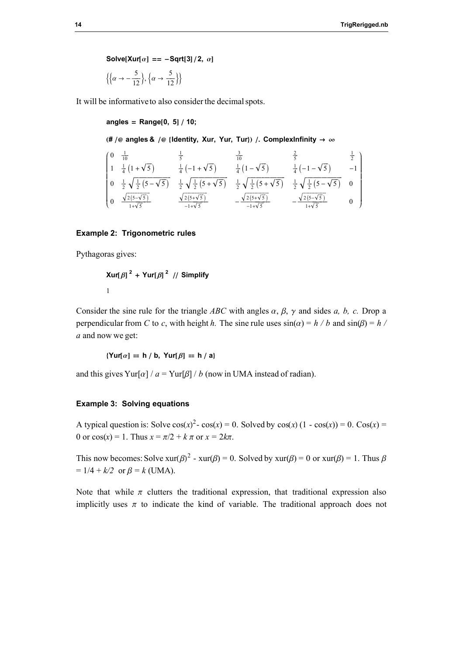Solve[Xur[ $\alpha$ ] == -Sqrt[3]/2,  $\alpha$ ]

$$
\left\{ \left\{ \alpha \rightarrow -\frac{5}{12} \right\}, \left\{ \alpha \rightarrow \frac{5}{12} \right\} \right\}
$$

It will be informative to also consider the decimal spots.

angles = Range $[0, 5]$  / 10;

(# /@ angles & /@ {Identity, Xur, Yur, Tur}) /. ComplexInfinity  $\rightarrow \infty$ 

$$
\begin{pmatrix}\n0 & \frac{1}{10} & \frac{1}{5} & \frac{3}{10} & \frac{2}{5} & \frac{1}{2} \\
1 & \frac{1}{4}(1+\sqrt{5}) & \frac{1}{4}(-1+\sqrt{5}) & \frac{1}{4}(1-\sqrt{5}) & \frac{1}{4}(-1-\sqrt{5}) & -1 \\
0 & \frac{1}{2}\sqrt{\frac{1}{2}(5-\sqrt{5})} & \frac{1}{2}\sqrt{\frac{1}{2}(5+\sqrt{5})} & \frac{1}{2}\sqrt{\frac{1}{2}(5+\sqrt{5})} & \frac{1}{2}\sqrt{\frac{1}{2}(5-\sqrt{5})} & 0 \\
0 & \frac{\sqrt{2(5-\sqrt{5})}}{1+\sqrt{5}} & \frac{\sqrt{2(5+\sqrt{5})}}{-1+\sqrt{5}} & -\frac{\sqrt{2(5+\sqrt{5})}}{-1+\sqrt{5}} & -\frac{\sqrt{2(5-\sqrt{5})}}{1+\sqrt{5}} & 0\n\end{pmatrix}
$$

#### Example 2: Trigonometric rules

Pythagoras gives:

$$
\text{Xur}[\beta]^2 + \text{Yur}[\beta]^2 \text{ // Simplify}
$$
  
1

Consider the sine rule for the triangle ABC with angles  $\alpha$ ,  $\beta$ ,  $\gamma$  and sides a, b, c. Drop a perpendicular from C to c, with height h. The sine rule uses  $sin(\alpha) = h/b$  and  $sin(\beta) = h/b$ a and now we get:

$$
\{ \text{Yur}[\alpha] = h / b, \text{Yur}[\beta] = h / a \}
$$

and this gives Yur[ $\alpha$ ] /  $a =$  Yur[ $\beta$ ] / b (now in UMA instead of radian).

#### Example 3: Solving equations

A typical question is: Solve  $cos(x)^2 - cos(x) = 0$ . Solved by  $cos(x)(1 - cos(x)) = 0$ .  $Cos(x) = 0$ 0 or  $cos(x) = 1$ . Thus  $x = \pi/2 + k \pi$  or  $x = 2k\pi$ .

This now becomes: Solve  $xur(\beta)^2$  -  $xur(\beta) = 0$ . Solved by  $xur(\beta) = 0$  or  $xur(\beta) = 1$ . Thus  $\beta$  $= 1/4 + k/2$  or  $\beta = k$  (UMA).

Note that while  $\pi$  clutters the traditional expression, that traditional expression also implicitly uses  $\pi$  to indicate the kind of variable. The traditional approach does not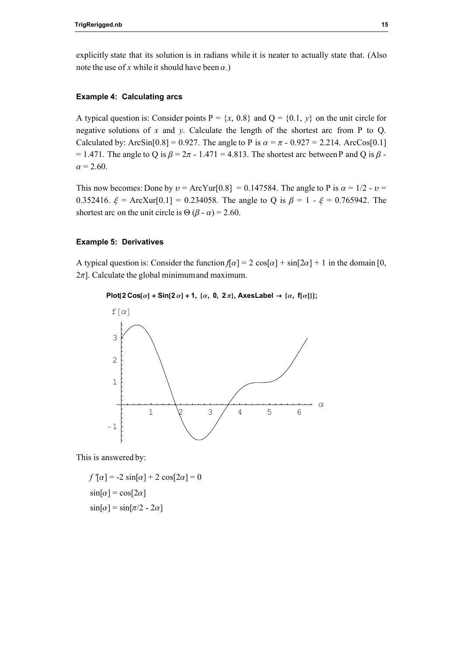explicitly state that its solution is in radians while it is neater to actually state that. (Also note the use of x while it should have been  $\alpha$ .)

#### Example 4: Calculating arcs

A typical question is: Consider points  $P = \{x, 0.8\}$  and  $Q = \{0.1, y\}$  on the unit circle for negative solutions of x and y. Calculate the length of the shortest arc from P to Q. Calculated by: ArcSin[0.8] = 0.927. The angle to P is  $\alpha = \pi - 0.927 = 2.214$ . ArcCos[0.1] = 1.471. The angle to Q is  $\beta$  =  $2\pi$  - 1.471 = 4.813. The shortest arc between P and Q is  $\beta$  - $\alpha = 2.60$ .

This now becomes: Done by  $v = ArcYur[0.8] = 0.147584$ . The angle to P is  $\alpha = 1/2$  -  $v =$ 0.352416.  $\xi$  = ArcXur[0.1] = 0.234058. The angle to Q is  $\beta$  = 1 -  $\xi$  = 0.765942. The shortest arc on the unit circle is  $\Theta (\beta - \alpha) = 2.60$ .

#### Example 5: Derivatives

A typical question is: Consider the function  $f[\alpha] = 2 \cos[\alpha] + \sin[2\alpha] + 1$  in the domain [0,  $2\pi$ . Calculate the global minimum and maximum.

#### Plot[2 Cos[a] + Sin[2 a] + 1, { $\alpha$ , 0, 2 $\pi$ }, AxesLabel  $\rightarrow$  { $\alpha$ , f[ $\alpha$ ]}];



This is answered by:

$$
f'[\alpha] = -2 \sin[\alpha] + 2 \cos[2\alpha] = 0
$$
  
 
$$
\sin[\alpha] = \cos[2\alpha]
$$
  
 
$$
\sin[\alpha] = \sin[\pi/2 - 2\alpha]
$$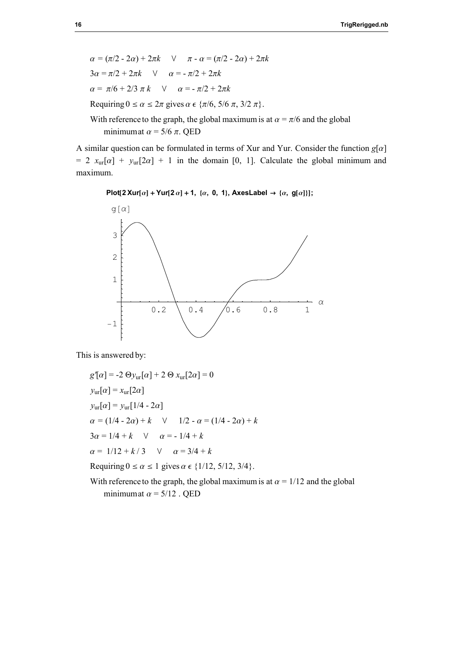$\alpha = (\pi/2 - 2\alpha) + 2\pi k$   $\vee$   $\pi - \alpha = (\pi/2 - 2\alpha) + 2\pi k$  $3\alpha = \pi/2 + 2\pi k$   $\vee$   $\alpha = -\pi/2 + 2\pi k$  $\alpha = \pi/6 + 2/3 \pi k$   $\vee$   $\alpha = -\pi/2 + 2\pi k$ Requiring  $0 \le \alpha \le 2\pi$  gives  $\alpha \in \{\pi/6, 5/6 \pi, 3/2 \pi\}.$ 

With reference to the graph, the global maximum is at  $\alpha = \pi/6$  and the global minimum at  $\alpha$  = 5/6  $\pi$ . QED

A similar question can be formulated in terms of Xur and Yur. Consider the function  $g[\alpha]$ = 2  $x_{\text{ur}}[\alpha] + y_{\text{ur}}[2\alpha] + 1$  in the domain [0, 1]. Calculate the global minimum and maximum.

```
Plot[2 Xur[a] + Yur[2 a] + 1, {a, 0, 1}, AxesLabel \rightarrow {a, g[a]}];
```


This is answered by:

$$
g'[ \alpha] = -2 \Theta y_{\text{ur}}[\alpha] + 2 \Theta x_{\text{ur}}[2\alpha] = 0
$$
  
\n
$$
y_{\text{ur}}[\alpha] = x_{\text{ur}}[2\alpha]
$$
  
\n
$$
y_{\text{ur}}[\alpha] = y_{\text{ur}}[1/4 - 2\alpha]
$$
  
\n
$$
\alpha = (1/4 - 2\alpha) + k \quad \lor \quad 1/2 - \alpha = (1/4 - 2\alpha) + k
$$
  
\n
$$
3\alpha = 1/4 + k \quad \lor \quad \alpha = -1/4 + k
$$
  
\n
$$
\alpha = 1/12 + k/3 \quad \lor \quad \alpha = 3/4 + k
$$

Requiring  $0 \le \alpha \le 1$  gives  $\alpha \in \{1/12, 5/12, 3/4\}$ .

With reference to the graph, the global maximum is at  $\alpha = 1/12$  and the global minimum at  $\alpha = 5/12$ . QED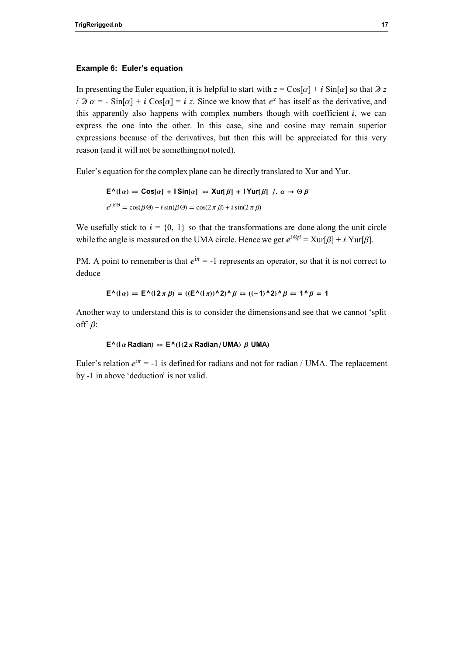#### Example 6: Euler's equation

In presenting the Euler equation, it is helpful to start with  $z = \cos[\alpha] + i \sin[\alpha]$  so that  $\partial z$  $\sqrt{a^2 + 2a}$  a = - Sin[a] + i Cos[a] = i z. Since we know that  $e^x$  has itself as the derivative, and this apparently also happens with complex numbers though with coefficient  $i$ , we can express the one into the other. In this case, sine and cosine may remain superior expressions because of the derivatives, but then this will be appreciated for this very reason (and it will not be something not noted).

Euler's equation for the complex plane can be directly translated to Xur and Yur.

$$
\mathsf{E}^{\mathsf{A}}(\mathsf{I}\alpha) = \mathsf{Cos}[\alpha] + \mathsf{I}\mathsf{Sin}[\alpha] = \mathsf{X}\text{ur}[\beta] + \mathsf{I}\mathsf{Y}\text{ur}[\beta] \quad , \ \alpha \to \Theta\beta
$$
\n
$$
e^{i\beta\Theta} = \cos(\beta\Theta) + i\sin(\beta\Theta) = \cos(2\pi\beta) + i\sin(2\pi\beta)
$$

We usefully stick to  $i = \{0, 1\}$  so that the transformations are done along the unit circle while the angle is measured on the UMA circle. Hence we get  $e^{i\Theta\beta} = \text{Xur}[\beta] + i \text{Yur}[\beta]$ .

PM. A point to remember is that  $e^{i\pi} = -1$  represents an operator, so that it is not correct to deduce

$$
\mathsf{E}^{\mathsf{A}}(\mathsf{I}\,\alpha) = \mathsf{E}^{\mathsf{A}}(\mathsf{I}\,2\,\pi\,\beta) = ((\mathsf{E}^{\mathsf{A}}(\mathsf{I}\,\pi))^{\mathsf{A}}\,2)^{\mathsf{A}}\,\beta = ((-1)^{\mathsf{A}}\,2)^{\mathsf{A}}\,\beta = 1^{\mathsf{A}}\,\beta = 1
$$

Another way to understand this is to consider the dimensions and see that we cannot 'split off'  $\beta$ :

#### $E^{\wedge}$ ( $\alpha$  Radian) =  $E^{\wedge}$ ( $\alpha$  Radian/UMA)  $\beta$  UMA)

Euler's relation  $e^{i\pi} = -1$  is defined for radians and not for radian / UMA. The replacement by -1 in above 'deduction' is not valid.